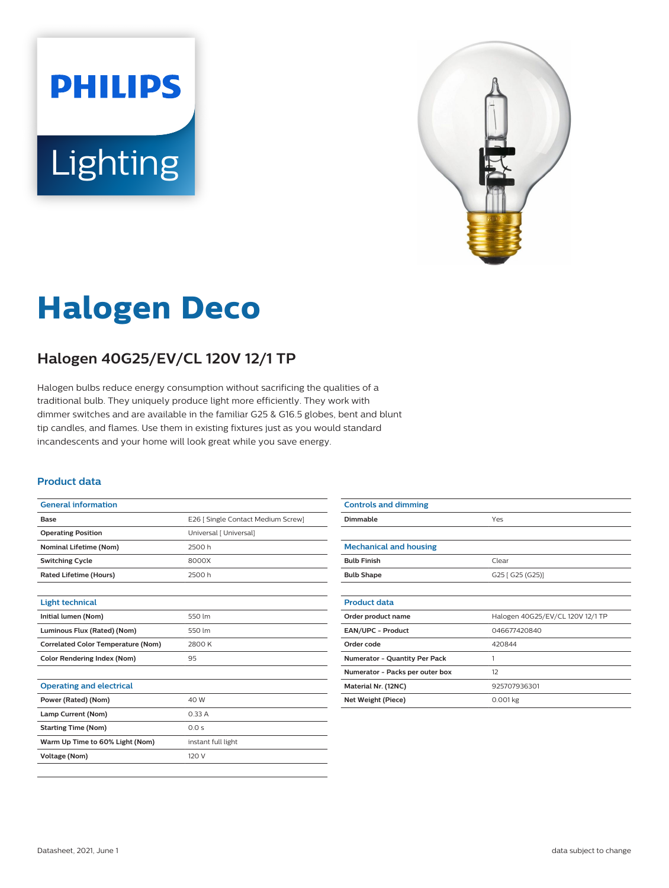# **PHILIPS Lighting**



# **Halogen Deco**

## **Halogen 40G25/EV/CL 120V 12/1 TP**

Halogen bulbs reduce energy consumption without sacrificing the qualities of a traditional bulb. They uniquely produce light more efficiently. They work with dimmer switches and are available in the familiar G25 & G16.5 globes, bent and blunt tip candles, and flames. Use them in existing fixtures just as you would standard incandescents and your home will look great while you save energy.

#### **Product data**

| <b>General information</b>                |                                    |  |  |
|-------------------------------------------|------------------------------------|--|--|
| Base                                      | E26   Single Contact Medium Screw] |  |  |
| <b>Operating Position</b>                 | Universal [ Universal]             |  |  |
| <b>Nominal Lifetime (Nom)</b>             | 2500 h                             |  |  |
| <b>Switching Cycle</b>                    | 8000X                              |  |  |
| <b>Rated Lifetime (Hours)</b>             | 2500 h                             |  |  |
|                                           |                                    |  |  |
| <b>Light technical</b>                    |                                    |  |  |
| Initial lumen (Nom)                       | 550 lm                             |  |  |
| Luminous Flux (Rated) (Nom)               | 550 lm                             |  |  |
| <b>Correlated Color Temperature (Nom)</b> | 2800 K                             |  |  |
| <b>Color Rendering Index (Nom)</b>        | 95                                 |  |  |
|                                           |                                    |  |  |
| <b>Operating and electrical</b>           |                                    |  |  |
| Power (Rated) (Nom)                       | 40 W                               |  |  |
| Lamp Current (Nom)                        | 0.33A                              |  |  |
| <b>Starting Time (Nom)</b>                | 0.0 s                              |  |  |
| Warm Up Time to 60% Light (Nom)           | instant full light                 |  |  |
| <b>Voltage (Nom)</b>                      | 120 V                              |  |  |
|                                           |                                    |  |  |

| <b>Controls and dimming</b>     |                                  |
|---------------------------------|----------------------------------|
| Dimmable                        | Yes                              |
|                                 |                                  |
| <b>Mechanical and housing</b>   |                                  |
| <b>Bulb Finish</b>              | Clear                            |
| <b>Bulb Shape</b>               | G25 [ G25 (G25)]                 |
|                                 |                                  |
| <b>Product data</b>             |                                  |
| Order product name              | Halogen 40G25/EV/CL 120V 12/1 TP |
| <b>EAN/UPC - Product</b>        | 046677420840                     |
| Order code                      | 420844                           |
| Numerator - Quantity Per Pack   | 1                                |
| Numerator - Packs per outer box | 12                               |
| Material Nr. (12NC)             | 925707936301                     |
| Net Weight (Piece)              | $0.001$ kg                       |
|                                 |                                  |